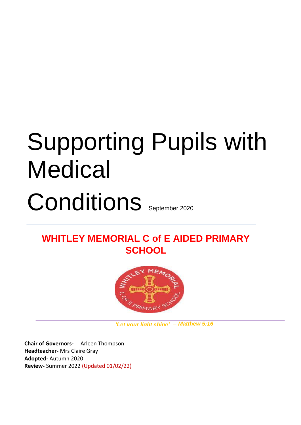# Supporting Pupils with **Medical** Conditions September 2020

# **WHITLEY MEMORIAL C of E AIDED PRIMARY SCHOOL**



 *'Let your light shine' – Matthew 5:16*

**Chair of Governors-** Arleen Thompson **Headteacher-** Mrs Claire Gray **Adopted-** Autumn 2020 **Review-** Summer 2022 (Updated 01/02/22)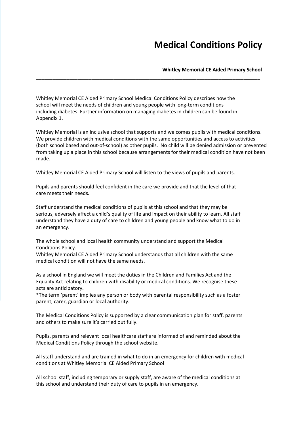# **Medical Conditions Policy**

#### **Whitley Memorial CE Aided Primary School**

Whitley Memorial CE Aided Primary School Medical Conditions Policy describes how the school will meet the needs of children and young people with long-term conditions including diabetes. Further information on managing diabetes in children can be found in Appendix 1.

Whitley Memorial is an inclusive school that supports and welcomes pupils with medical conditions. We provide children with medical conditions with the same opportunities and access to activities (both school based and out-of-school) as other pupils. No child will be denied admission or prevented from taking up a place in this school because arrangements for their medical condition have not been made.

\_\_\_\_\_\_\_\_\_\_\_\_\_\_\_\_\_\_\_\_\_\_\_\_\_\_\_\_\_\_\_\_\_\_\_\_\_\_\_\_\_\_\_\_\_\_\_\_\_\_\_\_\_\_\_\_\_\_\_\_\_\_\_\_\_\_\_\_\_\_\_\_\_\_\_\_\_\_\_\_\_

Whitley Memorial CE Aided Primary School will listen to the views of pupils and parents.

Pupils and parents should feel confident in the care we provide and that the level of that care meets their needs.

Staff understand the medical conditions of pupils at this school and that they may be serious, adversely affect a child's quality of life and impact on their ability to learn. All staff understand they have a duty of care to children and young people and know what to do in an emergency.

The whole school and local health community understand and support the Medical Conditions Policy.

Whitley Memorial CE Aided Primary School understands that all children with the same medical condition will not have the same needs.

As a school in England we will meet the duties in the Children and Families Act and the Equality Act relating to children with disability or medical conditions. We recognise these acts are anticipatory.

\*The term 'parent' implies any person or body with parental responsibility such as a foster parent, carer, guardian or local authority.

The Medical Conditions Policy is supported by a clear communication plan for staff, parents and others to make sure it's carried out fully.

Pupils, parents and relevant local healthcare staff are informed of and reminded about the Medical Conditions Policy through the school website.

All staff understand and are trained in what to do in an emergency for children with medical conditions at Whitley Memorial CE Aided Primary School

All school staff, including temporary or supply staff, are aware of the medical conditions at this school and understand their duty of care to pupils in an emergency.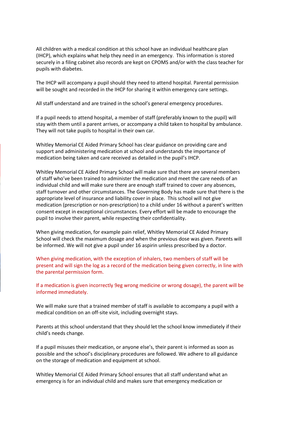All children with a medical condition at this school have an individual healthcare plan (IHCP), which explains what help they need in an emergency. This information is stored securely in a filing cabinet also records are kept on CPOMS and/or with the class teacher for pupils with diabetes.

The IHCP will accompany a pupil should they need to attend hospital. Parental permission will be sought and recorded in the IHCP for sharing it within emergency care settings.

All staff understand and are trained in the school's general emergency procedures.

If a pupil needs to attend hospital, a member of staff (preferably known to the pupil) will stay with them until a parent arrives, or accompany a child taken to hospital by ambulance. They will not take pupils to hospital in their own car.

Whitley Memorial CE Aided Primary School has clear guidance on providing care and support and administering medication at school and understands the importance of medication being taken and care received as detailed in the pupil's IHCP.

Whitley Memorial CE Aided Primary School will make sure that there are several members of staff who've been trained to administer the medication and meet the care needs of an individual child and will make sure there are enough staff trained to cover any absences, staff turnover and other circumstances. The Governing Body has made sure that there is the appropriate level of insurance and liability cover in place. This school will not give medication (prescription or non-prescription) to a child under 16 without a parent's written consent except in exceptional circumstances. Every effort will be made to encourage the pupil to involve their parent, while respecting their confidentiality.

When giving medication, for example pain relief, Whitley Memorial CE Aided Primary School will check the maximum dosage and when the previous dose was given. Parents will be informed. We will not give a pupil under 16 aspirin unless prescribed by a doctor.

When giving medication, with the exception of inhalers, two members of staff will be present and will sign the log as a record of the medication being given correctly, in line with the parental permission form.

If a medication is given incorrectly 9eg wrong medicine or wrong dosage), the parent will be informed immediately.

We will make sure that a trained member of staff is available to accompany a pupil with a medical condition on an off-site visit, including overnight stays.

Parents at this school understand that they should let the school know immediately if their child's needs change.

If a pupil misuses their medication, or anyone else's, their parent is informed as soon as possible and the school's disciplinary procedures are followed. We adhere to all guidance on the storage of medication and equipment at school.

Whitley Memorial CE Aided Primary School ensures that all staff understand what an emergency is for an individual child and makes sure that emergency medication or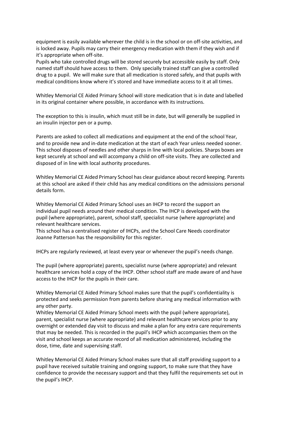equipment is easily available wherever the child is in the school or on off-site activities, and is locked away. Pupils may carry their emergency medication with them if they wish and if it's appropriate when off-site.

Pupils who take controlled drugs will be stored securely but accessible easily by staff. Only named staff should have access to them. Only specially trained staff can give a controlled drug to a pupil. We will make sure that all medication is stored safely, and that pupils with medical conditions know where it's stored and have immediate access to it at all times.

Whitley Memorial CE Aided Primary School will store medication that is in date and labelled in its original container where possible, in accordance with its instructions.

The exception to this is insulin, which must still be in date, but will generally be supplied in an insulin injector pen or a pump.

Parents are asked to collect all medications and equipment at the end of the school Year, and to provide new and in-date medication at the start of each Year unless needed sooner. This school disposes of needles and other sharps in line with local policies. Sharps boxes are kept securely at school and will accompany a child on off-site visits. They are collected and disposed of in line with local authority procedures.

Whitley Memorial CE Aided Primary School has clear guidance about record keeping. Parents at this school are asked if their child has any medical conditions on the admissions personal details form.

Whitley Memorial CE Aided Primary School uses an IHCP to record the support an individual pupil needs around their medical condition. The IHCP is developed with the pupil (where appropriate), parent, school staff, specialist nurse (where appropriate) and relevant healthcare services.

This school has a centralised register of IHCPs, and the School Care Needs coordinator Joanne Patterson has the responsibility for this register.

IHCPs are regularly reviewed, at least every year or whenever the pupil's needs change.

The pupil (where appropriate) parents, specialist nurse (where appropriate) and relevant healthcare services hold a copy of the IHCP. Other school staff are made aware of and have access to the IHCP for the pupils in their care.

Whitley Memorial CE Aided Primary School makes sure that the pupil's confidentiality is protected and seeks permission from parents before sharing any medical information with any other party.

Whitley Memorial CE Aided Primary School meets with the pupil (where appropriate), parent, specialist nurse (where appropriate) and relevant healthcare services prior to any overnight or extended day visit to discuss and make a plan for any extra care requirements that may be needed. This is recorded in the pupil's IHCP which accompanies them on the visit and school keeps an accurate record of all medication administered, including the dose, time, date and supervising staff.

Whitley Memorial CE Aided Primary School makes sure that all staff providing support to a pupil have received suitable training and ongoing support, to make sure that they have confidence to provide the necessary support and that they fulfil the requirements set out in the pupil's IHCP.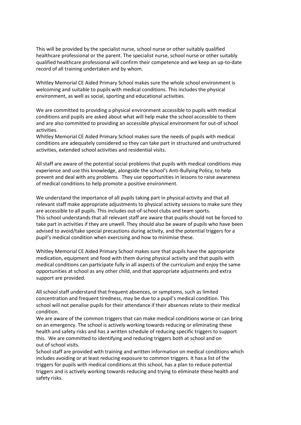This will be provided by the specialist nurse, school nurse or other suitably qualified healthcare professional or the parent. The specialist nurse, school nurse or other suitably qualified healthcare professional will confirm their competence and we keep an up-to-date record of all training undertaken and by whom.

Whitley Memorial CE Aided Primary School makes sure the whole school environment is welcoming and suitable to pupils with medical conditions. This includes the physical environment, as well as social, sporting and educational activities.

We are committed to providing a physical environment accessible to pupils with medical conditions and pupils are asked about what will help make the school accessible to them and are also committed to providing an accessible physical environment for out-of school activities.

Whitley Memorial CE Aided Primary School makes sure the needs of pupils with medical conditions are adequately considered so they can take part in structured and unstructured activities, extended school activities and residential visits.

All staff are aware of the potential social problems that pupils with medical conditions may experience and use this knowledge, alongside the school's Anti-Bullying Policy, to help prevent and deal with any problems. They use opportunities in lessons to raise awareness of medical conditions to help promote a positive environment.

We understand the importance of all pupils taking part in physical activity and that all relevant staff make appropriate adjustments to physical activity sessions to make sure they are accessible to all pupils. This includes out-of-school clubs and team sports. This school understands that all relevant staff are aware that pupils should not be forced to take part in activities if they are unwell. They should also be aware of pupils who have been advised to avoid/take special precautions during activity, and the potential triggers for a pupil's medical condition when exercising and how to minimise these.

Whitley Memorial CE Aided Primary School makes sure that pupils have the appropriate medication, equipment and food with them during physical activity and that pupils with medical conditions can participate fully in all aspects of the curriculum and enjoy the same opportunities at school as any other child, and that appropriate adjustments and extra support are provided.

All school staff understand that frequent absences, or symptoms, such as limited concentration and frequent tiredness, may be due to a pupil's medical condition. This school will not penalise pupils for their attendance if their absences relate to their medical condition.

We are aware of the common triggers that can make medical conditions worse or can bring on an emergency. The school is actively working towards reducing or eliminating these health and safety risks and has a written schedule of reducing specific triggers to support this. We are committed to identifying and reducing triggers both at school and on out of school visits.

School staff are provided with training and written information on medical conditions which includes avoiding or at least reducing exposure to common triggers. It has a list of the triggers for pupils with medical conditions at this school, has a plan to reduce potential triggers and is actively working towards reducing and trying to eliminate these health and safety risks.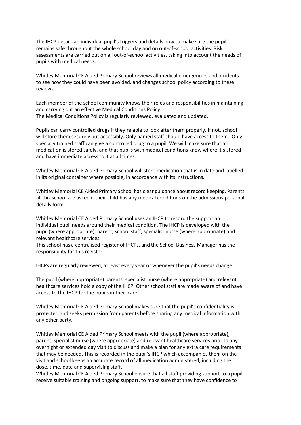The IHCP details an individual pupil's triggers and details how to make sure the pupil remains safe throughout the whole school day and on out-of-school activities. Risk assessments are carried out on all out-of-school activities, taking into account the needs of pupils with medical needs.

Whitley Memorial CE Aided Primary School reviews all medical emergencies and incidents to see how they could have been avoided, and changes school policy according to these reviews.

Each member of the school community knows their roles and responsibilities in maintaining and carrying out an effective Medical Conditions Policy. The Medical Conditions Policy is regularly reviewed, evaluated and updated.

Pupils can carry controlled drugs if they're able to look after them properly. If not, school will store them securely but accessibly. Only named staff should have access to them. Only specially trained staff can give a controlled drug to a pupil. We will make sure that all medication is stored safely, and that pupils with medical conditions know where it's stored and have immediate access to it at all times.

Whitley Memorial CE Aided Primary School will store medication that is in date and labelled in its original container where possible, in accordance with its instructions.

Whitley Memorial CE Aided Primary School has clear guidance about record keeping. Parents at this school are asked if their child has any medical conditions on the admissions personal details form.

Whitley Memorial CE Aided Primary School uses an IHCP to record the support an individual pupil needs around their medical condition. The IHCP is developed with the pupil (where appropriate), parent, school staff, specialist nurse (where appropriate) and relevant healthcare services.

This school has a centralised register of IHCPs, and the School Business Manager has the responsibility for this register.

IHCPs are regularly reviewed, at least every year or whenever the pupil's needs change.

The pupil (where appropriate) parents, specialist nurse (where appropriate) and relevant healthcare services hold a copy of the IHCP. Other school staff are made aware of and have access to the IHCP for the pupils in their care.

Whitley Memorial CE Aided Primary School makes sure that the pupil's confidentiality is protected and seeks permission from parents before sharing any medical information with any other party.

Whitley Memorial CE Aided Primary School meets with the pupil (where appropriate), parent, specialist nurse (where appropriate) and relevant healthcare services prior to any overnight or extended day visit to discuss and make a plan for any extra care requirements that may be needed. This is recorded in the pupil's IHCP which accompanies them on the visit and school keeps an accurate record of all medication administered, including the dose, time, date and supervising staff.

Whitley Memorial CE Aided Primary School ensure that all staff providing support to a pupil receive suitable training and ongoing support, to make sure that they have confidence to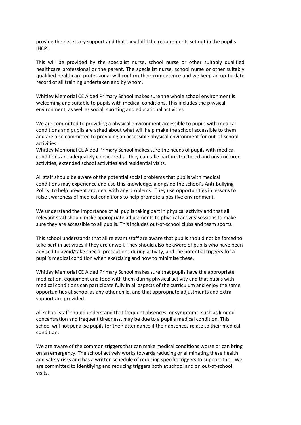provide the necessary support and that they fulfil the requirements set out in the pupil's IHCP.

This will be provided by the specialist nurse, school nurse or other suitably qualified healthcare professional or the parent. The specialist nurse, school nurse or other suitably qualified healthcare professional will confirm their competence and we keep an up-to-date record of all training undertaken and by whom.

Whitley Memorial CE Aided Primary School makes sure the whole school environment is welcoming and suitable to pupils with medical conditions. This includes the physical environment, as well as social, sporting and educational activities.

We are committed to providing a physical environment accessible to pupils with medical conditions and pupils are asked about what will help make the school accessible to them and are also committed to providing an accessible physical environment for out-of-school activities.

Whitley Memorial CE Aided Primary School makes sure the needs of pupils with medical conditions are adequately considered so they can take part in structured and unstructured activities, extended school activities and residential visits.

All staff should be aware of the potential social problems that pupils with medical conditions may experience and use this knowledge, alongside the school's Anti-Bullying Policy, to help prevent and deal with any problems. They use opportunities in lessons to raise awareness of medical conditions to help promote a positive environment.

We understand the importance of all pupils taking part in physical activity and that all relevant staff should make appropriate adjustments to physical activity sessions to make sure they are accessible to all pupils. This includes out-of-school clubs and team sports.

This school understands that all relevant staff are aware that pupils should not be forced to take part in activities if they are unwell. They should also be aware of pupils who have been advised to avoid/take special precautions during activity, and the potential triggers for a pupil's medical condition when exercising and how to minimise these.

Whitley Memorial CE Aided Primary School makes sure that pupils have the appropriate medication, equipment and food with them during physical activity and that pupils with medical conditions can participate fully in all aspects of the curriculum and enjoy the same opportunities at school as any other child, and that appropriate adjustments and extra support are provided.

All school staff should understand that frequent absences, or symptoms, such as limited concentration and frequent tiredness, may be due to a pupil's medical condition. This school will not penalise pupils for their attendance if their absences relate to their medical condition.

We are aware of the common triggers that can make medical conditions worse or can bring on an emergency. The school actively works towards reducing or eliminating these health and safety risks and has a written schedule of reducing specific triggers to support this. We are committed to identifying and reducing triggers both at school and on out-of-school visits.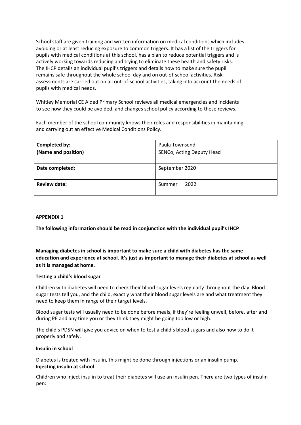School staff are given training and written information on medical conditions which includes avoiding or at least reducing exposure to common triggers. It has a list of the triggers for pupils with medical conditions at this school, has a plan to reduce potential triggers and is actively working towards reducing and trying to eliminate these health and safety risks. The IHCP details an individual pupil's triggers and details how to make sure the pupil remains safe throughout the whole school day and on out-of-school activities. Risk assessments are carried out on all out-of-school activities, taking into account the needs of pupils with medical needs.

Whitley Memorial CE Aided Primary School reviews all medical emergencies and incidents to see how they could be avoided, and changes school policy according to these reviews.

Each member of the school community knows their roles and responsibilities in maintaining and carrying out an effective Medical Conditions Policy.

| Completed by:<br>(Name and position) | Paula Townsend<br>SENCo, Acting Deputy Head |
|--------------------------------------|---------------------------------------------|
| Date completed:                      | September 2020                              |
| <b>Review date:</b>                  | 2022<br>Summer                              |

# **APPENDIX 1**

**The following information should be read in conjunction with the individual pupil's IHCP** 

**Managing diabetes in school is important to make sure a child with diabetes has the same education and experience at school. It's just as important to manage their diabetes at school as well as it is managed at home.** 

# **Testing a child's blood sugar**

Children with diabetes will need to check thei[r](https://www.diabetes.org.uk/guide-to-diabetes/managing-your-diabetes/testing) [blood sugar levels](https://www.diabetes.org.uk/guide-to-diabetes/managing-your-diabetes/testing) [re](https://www.diabetes.org.uk/guide-to-diabetes/managing-your-diabetes/testing)gularly throughout the day. Blood sugar tests tell you, and the child, exactly what their blood sugar levels are and what treatment they need to keep them in range of their target levels.

Blood sugar tests will usually need to be done before meals, if they're feeling unwell, before, after and during PE and any time you or they think they might be going too low or high.

The child's PDSN will give you advice on when to test a child's blood sugars and also how to do it properly and safely.

# **Insulin in school**

Diabetes is treated with [insulin,](https://www.diabetes.org.uk/guide-to-diabetes/managing-your-diabetes/treating-your-diabetes/insulin) this might be done through [injections](https://www.diabetes.org.uk/diabetes-the-basics/diabetes-treatments) [or](https://www.diabetes.org.uk/diabetes-the-basics/diabetes-treatments) a[n](https://www.diabetes.org.uk/guide-to-diabetes/managing-your-diabetes/treating-your-diabetes/insulin-pumps) [insulin pump.](https://www.diabetes.org.uk/guide-to-diabetes/managing-your-diabetes/treating-your-diabetes/insulin-pumps) **Injecting insulin at school** 

Children who inject insulin to treat their diabetes will use an insulin pen. There are two types of insulin pen: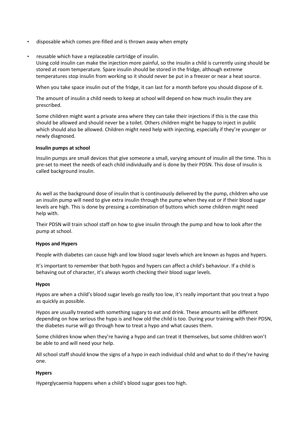- disposable which comes pre-filled and is thrown away when empty
- reusable which have a replaceable cartridge of insulin. Using cold insulin can make the injection more painful, so the insulin a child is currently using should be stored at room temperature. Spare insulin should be stored in the fridge, although extreme temperatures stop insulin from working so it should never be put in a freezer or near a heat source.

When you take space insulin out of the fridge, it can last for a month before you should dispose of it.

The amount of insulin a child needs to keep at school will depend on how much insulin they are prescribed.

Some children might want a private area where they can take their injections if this is the case this should be allowed and should never be a toilet. Others children might be happy to inject in public which should also be allowed. Children might need help with injecting, especially if they're younger or newly diagnosed.

#### **Insulin pumps at school**

[Insulin pumps](https://www.diabetes.org.uk/guide-to-diabetes/managing-your-diabetes/treating-your-diabetes/insulin-pumps) [ar](https://www.diabetes.org.uk/guide-to-diabetes/managing-your-diabetes/treating-your-diabetes/insulin-pumps)e small devices that give someone a small, varying amount of insulin all the time. This is pre-set to meet the needs of each child individually and is done by their PDSN. This dose of insulin is called background insulin.

As well as the background dose of insulin that is continuously delivered by the pump, children who use an insulin pump will need to give extra insulin through the pump when they eat or if their blood sugar levels are high. This is done by pressing a combination of buttons which some children might need help with.

Their PDSN will train school staff on how to give insulin through the pump and how to look after the pump at school.

#### **Hypos and Hypers**

People with diabetes can cause high and low blood sugar levels which are known as hypos and hypers.

It's important to remember that both hypos and hypers can affect a child's behaviour. If a child is behaving out of character, it's always worth checking their blood sugar levels.

#### **Hypos**

Hypos are when a child's blood sugar levels go really too low, it's really important that you treat a hypo as quickly as possible.

Hypos are usually treated with something sugary to eat and drink. These amounts will be different depending on how serious the hypo is and how old the child is too. During your training with their PDSN, the diabetes nurse will go through how to treat a hypo and what causes them.

Some children know when they're having a hypo and can treat it themselves, but some children won't be able to and will need your help.

All school staff should know the signs of a hypo in each individual child and what to do if they're having one.

# **Hypers**

Hyperglycaemia happens when a child's blood sugar goes too high.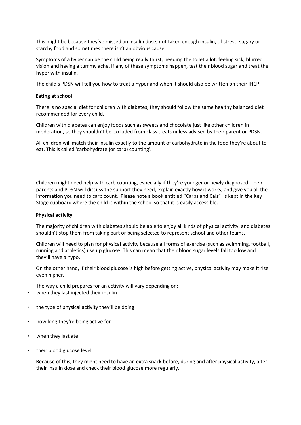This might be because they've missed an insulin dose, not taken enough insulin, of stress, sugary or starchy food and sometimes there isn't an obvious cause.

Symptoms of a hyper can be the child being really thirst, needing the toilet a lot, feeling sick, blurred vision and having a tummy ache. If any of these symptoms happen, test their blood sugar and treat the hyper with insulin.

The child's PDSN will tell you how to treat a hyper and when it should also be written on their IHCP.

# **Eating at school**

There is no special diet for children with diabetes, they should follow the same healthy balanced diet recommended for every child.

Children with diabetes can enjoy foods such as sweets and chocolate just like other children in moderation, so they shouldn't be excluded from class treats unless advised by their parent or PDSN.

All children will match their insulin exactly to the amount of carbohydrate in the food they're about to eat. This is called 'carbohydrate (or carb) counting'.

Children might need help with carb counting, especially if they're younger or newly diagnosed. Their parents and PDSN will discuss the support they need, explain exactly how it works, and give you all the information you need to carb count. Please note a book entitled "Carbs and Cals" is kept in the Key Stage cupboard where the child is within the school so that it is easily accessible.

# **Physical activity**

The majority of children with diabetes should be able to enjoy all kinds of physical activity, and diabetes shouldn't stop them from taking part or being selected to represent school and other teams.

Children will need to plan for physical activity because all forms of exercise (such as swimming, football, running and athletics) use up glucose. This can mean that their blood sugar levels fall too low and they'll have a hypo.

On the other hand, if their blood glucose is high before getting active, physical activity may make it rise even higher.

The way a child prepares for an activity will vary depending on:

- when they last injected their insulin
- the type of physical activity they'll be doing
- how long they're being active for
- when they last ate
- their blood glucose level.

Because of this, they might need to have an extra snack before, during and after physical activity, alter their insulin dose and check their blood glucose more regularly.